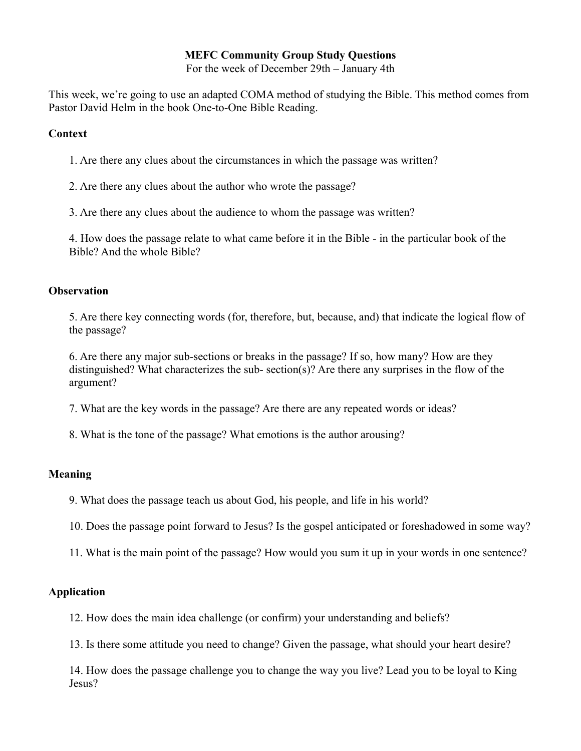# **MEFC Community Group Study Questions**

For the week of December 29th – January 4th

This week, we're going to use an adapted COMA method of studying the Bible. This method comes from Pastor David Helm in the book One-to-One Bible Reading.

#### **Context**

1. Are there any clues about the circumstances in which the passage was written?

2. Are there any clues about the author who wrote the passage?

3. Are there any clues about the audience to whom the passage was written?

4. How does the passage relate to what came before it in the Bible - in the particular book of the Bible? And the whole Bible?

#### **Observation**

5. Are there key connecting words (for, therefore, but, because, and) that indicate the logical flow of the passage?

6. Are there any major sub-sections or breaks in the passage? If so, how many? How are they distinguished? What characterizes the sub- section(s)? Are there any surprises in the flow of the argument?

7. What are the key words in the passage? Are there are any repeated words or ideas?

8. What is the tone of the passage? What emotions is the author arousing?

## **Meaning**

9. What does the passage teach us about God, his people, and life in his world?

10. Does the passage point forward to Jesus? Is the gospel anticipated or foreshadowed in some way?

11. What is the main point of the passage? How would you sum it up in your words in one sentence?

## **Application**

12. How does the main idea challenge (or confirm) your understanding and beliefs?

13. Is there some attitude you need to change? Given the passage, what should your heart desire?

14. How does the passage challenge you to change the way you live? Lead you to be loyal to King Jesus?